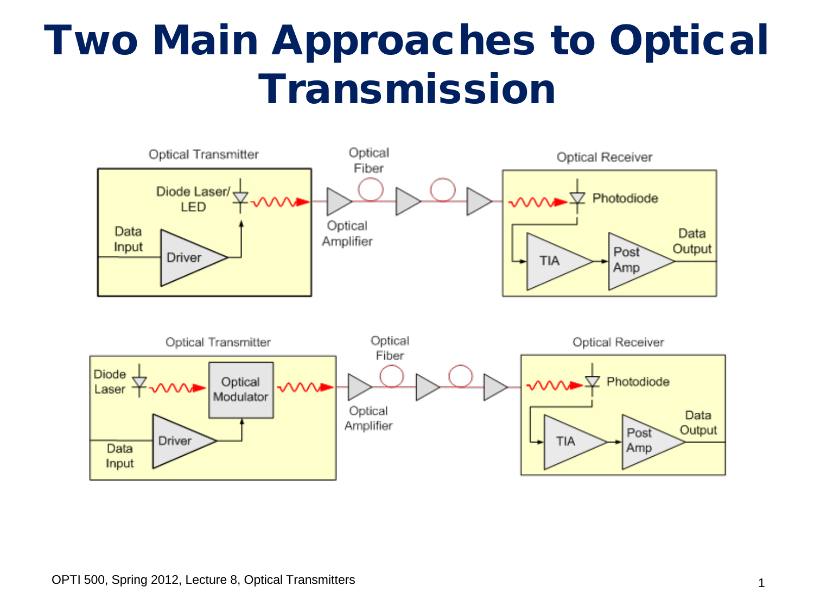#### Two Main Approaches to Optical Transmission

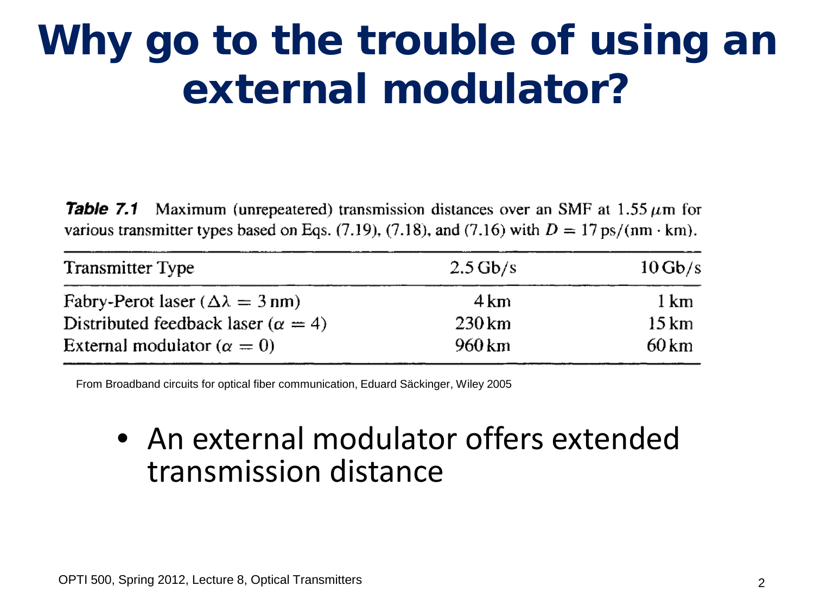## Why go to the trouble of using an external modulator?

Table 7.1 Maximum (unrepeatered) transmission distances over an SMF at 1.55  $\mu$ m for various transmitter types based on Eqs. (7.19), (7.18), and (7.16) with  $D = 17 \text{ ps/(nm} \cdot \text{km})$ .

| <b>Transmitter Type</b>                      | $2.5$ Gb/s        | $10 \text{Gb/s}$   |
|----------------------------------------------|-------------------|--------------------|
| Fabry-Perot laser ( $\Delta \lambda = 3$ nm) | $4 \,\mathrm{km}$ | 1 km               |
| Distributed feedback laser ( $\alpha = 4$ )  | $230 \mathrm{km}$ | $15 \,\mathrm{km}$ |
| External modulator ( $\alpha = 0$ )          | 960 km            | 60 km              |

From Broadband circuits for optical fiber communication, Eduard Säckinger, Wiley 2005

#### • An external modulator offers extended transmission distance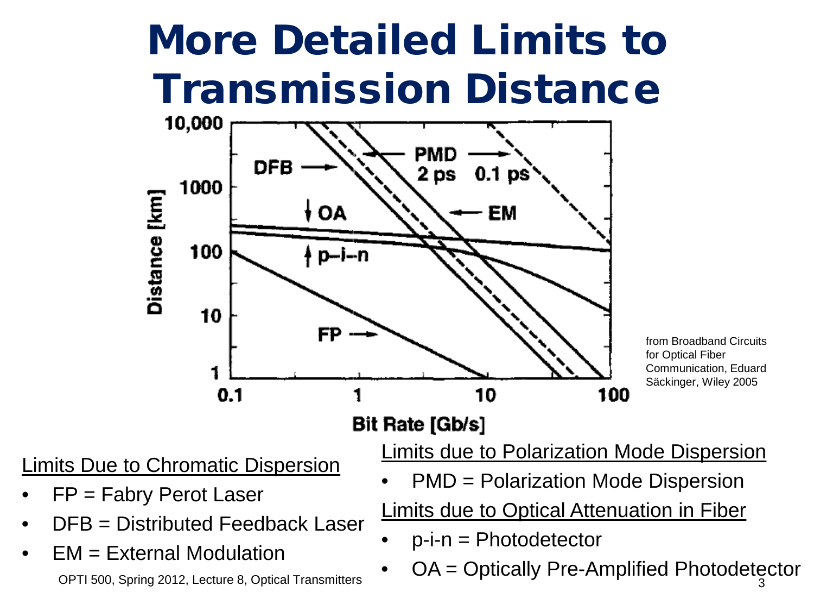## More Detailed Limits to Transmission Distance



from Broadband Circuits for Optical Fiber Communication, Eduard Säckinger, Wiley 2005

- Limits Due to Chromatic Dispersion
- $FP = Fabry$  Perot Laser
- DFB = Distributed Feedback Laser
- EM = External Modulation OPTI 500, Spring 2012, Lecture 8, Optical Transmitters

Limits due to Polarization Mode Dispersion

• PMD = Polarization Mode Dispersion

Limits due to Optical Attenuation in Fiber

- $p-i-n = Photodetector$
- OA = Optically Pre-Amplified Photodetector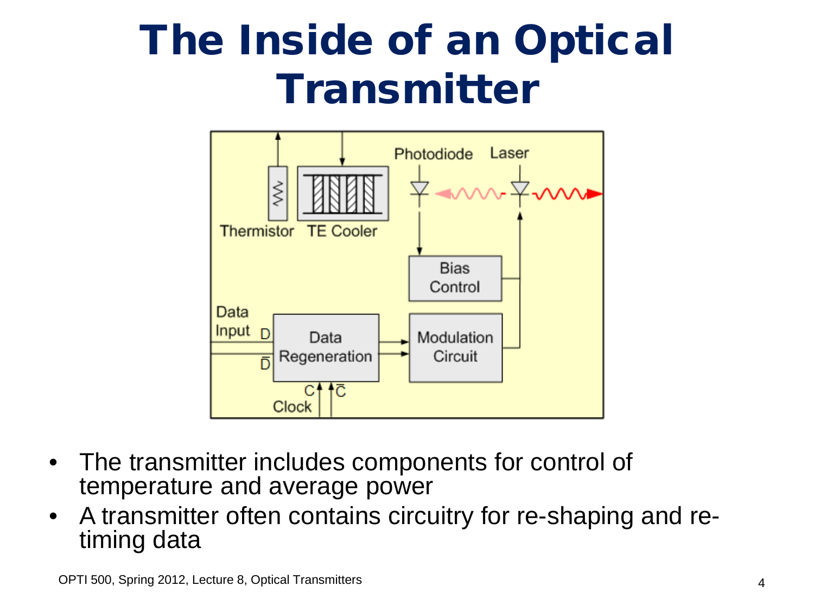## The Inside of an Optical Transmitter



- The transmitter includes components for control of temperature and average power
- A transmitter often contains circuitry for re-shaping and re- timing data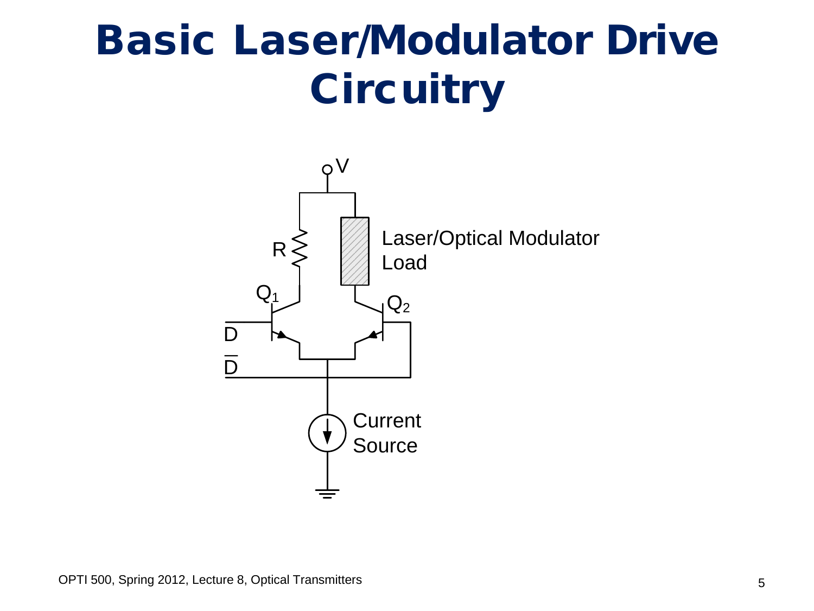## Basic Laser/Modulator Drive **Circuitry**

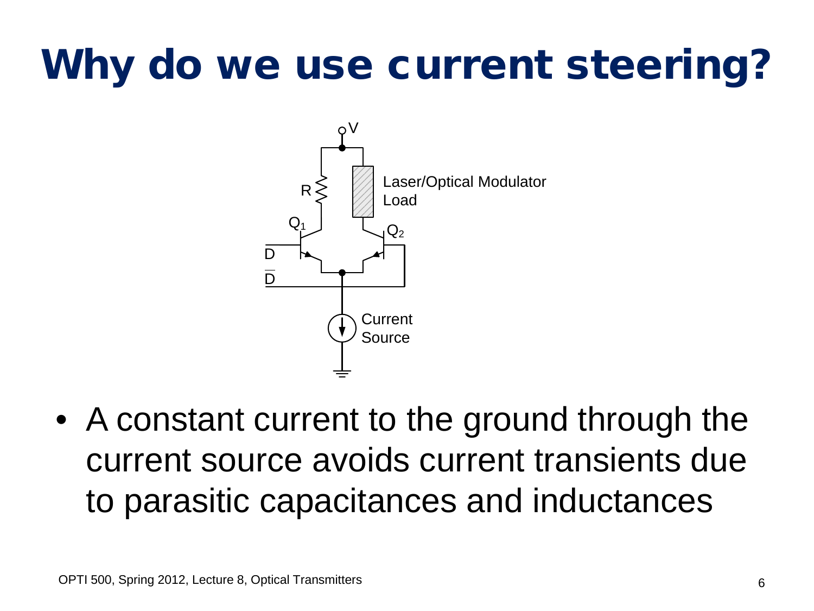# Why do we use current steering?



• A constant current to the ground through the current source avoids current transients due to parasitic capacitances and inductances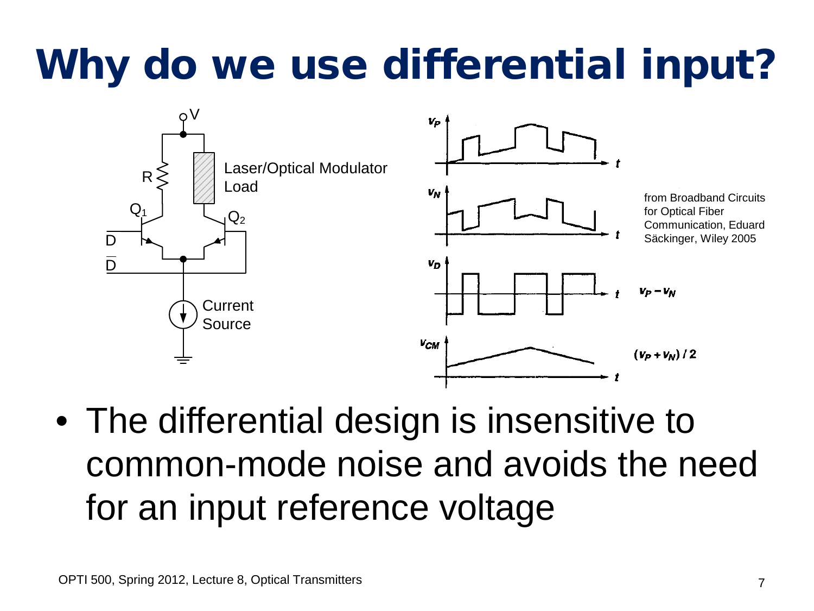# Why do we use differential input?



• The differential design is insensitive to common-mode noise and avoids the need for an input reference voltage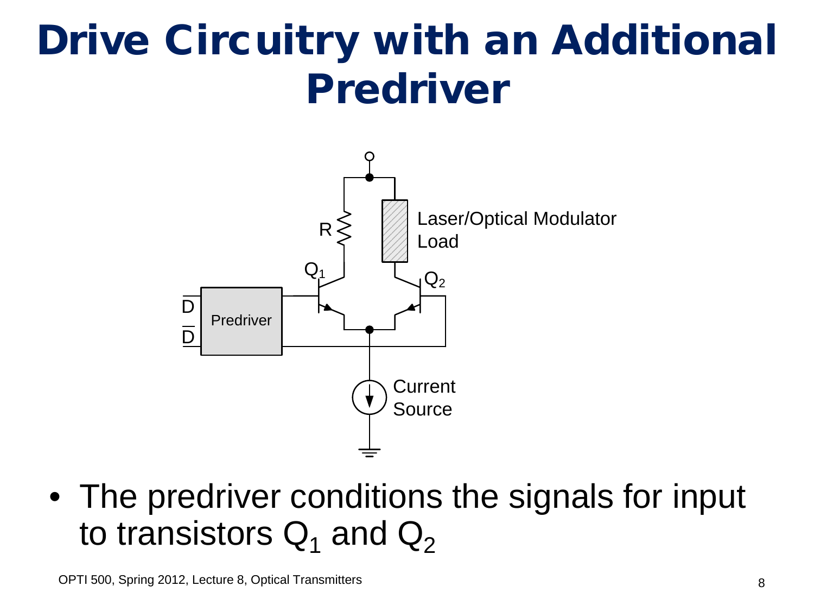## Drive Circuitry with an Additional Predriver



• The predriver conditions the signals for input to transistors  $Q_1$  and  $Q_2$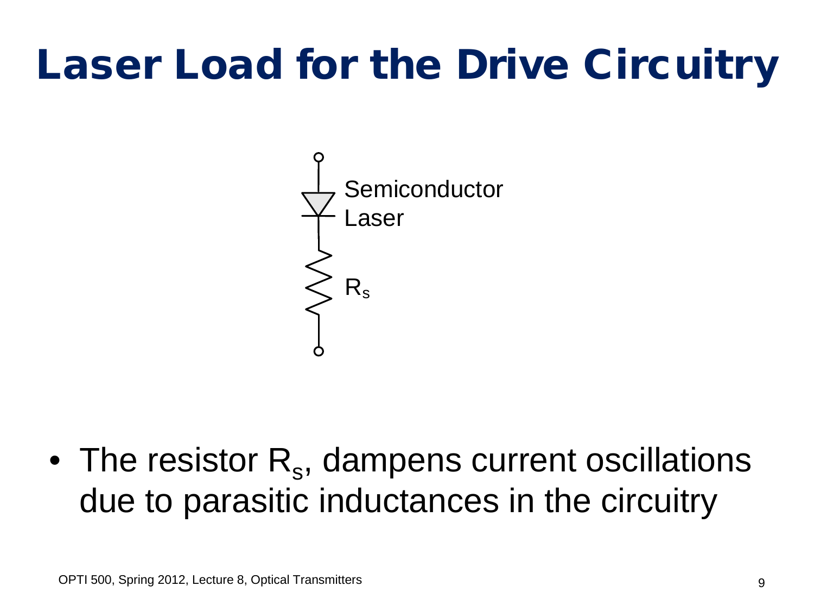## Laser Load for the Drive Circuitry



• The resistor  $R_s$ , dampens current oscillations due to parasitic inductances in the circuitry